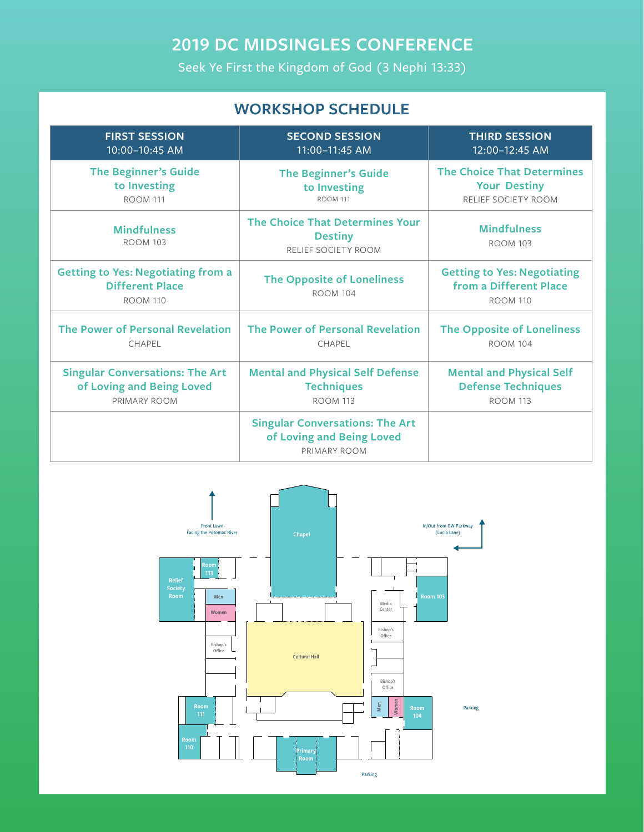# **2019 DC MIDSINGLES CONFERENCE**

Seek Ye First the Kingdom of God (3 Nephi 13:33)

## **WORKSHOP SCHEDULE**

| <b>FIRST SESSION</b>                                                                   | <b>SECOND SESSION</b>                                                               | <b>THIRD SESSION</b>                                                            |
|----------------------------------------------------------------------------------------|-------------------------------------------------------------------------------------|---------------------------------------------------------------------------------|
| 10:00-10:45 AM                                                                         | 11:00-11:45 AM                                                                      | 12:00-12:45 AM                                                                  |
| <b>The Beginner's Guide</b>                                                            | <b>The Beginner's Guide</b>                                                         | <b>The Choice That Determines</b>                                               |
| to Investing                                                                           | to Investing                                                                        | <b>Your Destiny</b>                                                             |
| <b>ROOM 111</b>                                                                        | <b>ROOM 111</b>                                                                     | RELIEF SOCIETY ROOM                                                             |
| <b>Mindfulness</b><br><b>ROOM 103</b>                                                  | <b>The Choice That Determines Your</b><br><b>Destiny</b><br>RELIEF SOCIETY ROOM     | <b>Mindfulness</b><br><b>ROOM 103</b>                                           |
| <b>Getting to Yes: Negotiating from a</b><br><b>Different Place</b><br><b>ROOM 110</b> | <b>The Opposite of Loneliness</b><br><b>ROOM 104</b>                                | <b>Getting to Yes: Negotiating</b><br>from a Different Place<br><b>ROOM 110</b> |
| The Power of Personal Revelation                                                       | The Power of Personal Revelation                                                    | <b>The Opposite of Loneliness</b>                                               |
| CHAPEL                                                                                 | CHAPEL                                                                              | <b>ROOM 104</b>                                                                 |
| <b>Singular Conversations: The Art</b>                                                 | <b>Mental and Physical Self Defense</b>                                             | <b>Mental and Physical Self</b>                                                 |
| of Loving and Being Loved                                                              | <b>Techniques</b>                                                                   | <b>Defense Techniques</b>                                                       |
| PRIMARY ROOM                                                                           | <b>ROOM 113</b>                                                                     | <b>ROOM 113</b>                                                                 |
|                                                                                        | <b>Singular Conversations: The Art</b><br>of Loving and Being Loved<br>PRIMARY ROOM |                                                                                 |